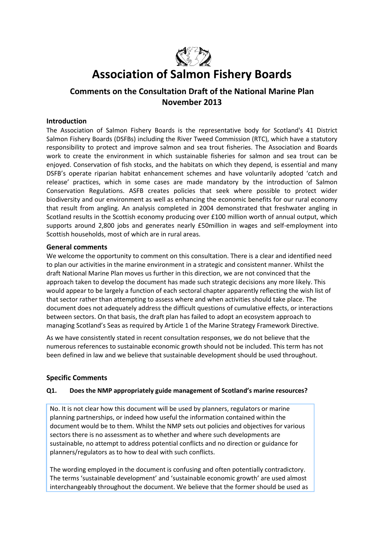

# **Association of Salmon Fishery Boards**

# **Comments on the Consultation Draft of the National Marine Plan November 2013**

## **Introduction**

The Association of Salmon Fishery Boards is the representative body for Scotland's 41 District Salmon Fishery Boards (DSFBs) including the River Tweed Commission (RTC), which have a statutory responsibility to protect and improve salmon and sea trout fisheries. The Association and Boards work to create the environment in which sustainable fisheries for salmon and sea trout can be enjoyed. Conservation of fish stocks, and the habitats on which they depend, is essential and many DSFB's operate riparian habitat enhancement schemes and have voluntarily adopted 'catch and release' practices, which in some cases are made mandatory by the introduction of Salmon Conservation Regulations. ASFB creates policies that seek where possible to protect wider biodiversity and our environment as well as enhancing the economic benefits for our rural economy that result from angling. An analysis completed in 2004 demonstrated that freshwater angling in Scotland results in the Scottish economy producing over £100 million worth of annual output, which supports around 2,800 jobs and generates nearly £50million in wages and self-employment into Scottish households, most of which are in rural areas.

## **General comments**

We welcome the opportunity to comment on this consultation. There is a clear and identified need to plan our activities in the marine environment in a strategic and consistent manner. Whilst the draft National Marine Plan moves us further in this direction, we are not convinced that the approach taken to develop the document has made such strategic decisions any more likely. This would appear to be largely a function of each sectoral chapter apparently reflecting the wish list of that sector rather than attempting to assess where and when activities should take place. The document does not adequately address the difficult questions of cumulative effects, or interactions between sectors. On that basis, the draft plan has failed to adopt an ecosystem approach to managing Scotland's Seas as required by Article 1 of the Marine Strategy Framework Directive.

As we have consistently stated in recent consultation responses, we do not believe that the numerous references to sustainable economic growth should not be included. This term has not been defined in law and we believe that sustainable development should be used throughout.

## **Specific Comments**

## **Q1. Does the NMP appropriately guide management of Scotland's marine resources?**

No. It is not clear how this document will be used by planners, regulators or marine planning partnerships, or indeed how useful the information contained within the document would be to them. Whilst the NMP sets out policies and objectives for various sectors there is no assessment as to whether and where such developments are sustainable, no attempt to address potential conflicts and no direction or guidance for planners/regulators as to how to deal with such conflicts.

The wording employed in the document is confusing and often potentially contradictory. The terms 'sustainable development' and 'sustainable economic growth' are used almost interchangeably throughout the document. We believe that the former should be used as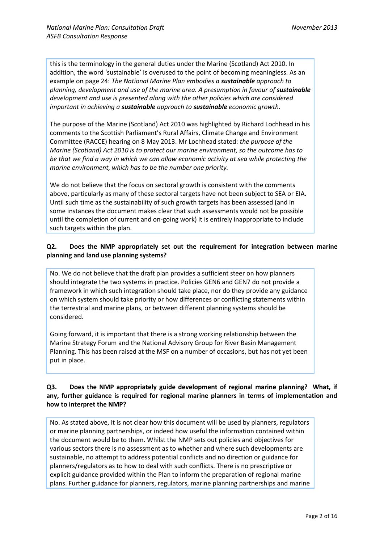this is the terminology in the general duties under the Marine (Scotland) Act 2010. In addition, the word 'sustainable' is overused to the point of becoming meaningless. As an example on page 24: *The National Marine Plan embodies a sustainable approach to planning, development and use of the marine area. A presumption in favour of <i>sustainable development and use is presented along with the other policies which are considered important in achieving a sustainable approach to sustainable economic growth*.

The purpose of the Marine (Scotland) Act 2010 was highlighted by Richard Lochhead in his comments to the Scottish Parliament's Rural Affairs, Climate Change and Environment Committee (RACCE) hearing on 8 May 2013. Mr Lochhead stated: *the purpose of the Marine (Scotland) Act 2010 is to protect our marine environment, so the outcome has to be that we find a way in which we can allow economic activity at sea while protecting the marine environment, which has to be the number one priority.*

We do not believe that the focus on sectoral growth is consistent with the comments above, particularly as many of these sectoral targets have not been subject to SEA or EIA. Until such time as the sustainability of such growth targets has been assessed (and in some instances the document makes clear that such assessments would not be possible until the completion of current and on-going work) it is entirely inappropriate to include such targets within the plan.

## **Q2. Does the NMP appropriately set out the requirement for integration between marine planning and land use planning systems?**

No. We do not believe that the draft plan provides a sufficient steer on how planners should integrate the two systems in practice. Policies GEN6 and GEN7 do not provide a framework in which such integration should take place, nor do they provide any guidance on which system should take priority or how differences or conflicting statements within the terrestrial and marine plans, or between different planning systems should be considered.

Going forward, it is important that there is a strong working relationship between the Marine Strategy Forum and the National Advisory Group for River Basin Management Planning. This has been raised at the MSF on a number of occasions, but has not yet been put in place.

## **Q3. Does the NMP appropriately guide development of regional marine planning? What, if any, further guidance is required for regional marine planners in terms of implementation and how to interpret the NMP?**

No. As stated above, it is not clear how this document will be used by planners, regulators or marine planning partnerships, or indeed how useful the information contained within the document would be to them. Whilst the NMP sets out policies and objectives for various sectors there is no assessment as to whether and where such developments are sustainable, no attempt to address potential conflicts and no direction or guidance for planners/regulators as to how to deal with such conflicts. There is no prescriptive or explicit guidance provided within the Plan to inform the preparation of regional marine plans. Further guidance for planners, regulators, marine planning partnerships and marine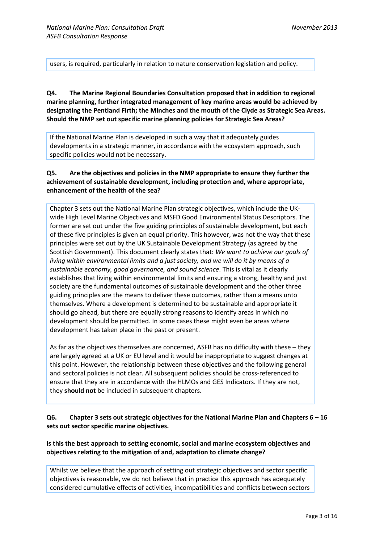users, is required, particularly in relation to nature conservation legislation and policy.

**Q4. The Marine Regional Boundaries Consultation proposed that in addition to regional marine planning, further integrated management of key marine areas would be achieved by designating the Pentland Firth; the Minches and the mouth of the Clyde as Strategic Sea Areas. Should the NMP set out specific marine planning policies for Strategic Sea Areas?**

If the National Marine Plan is developed in such a way that it adequately guides developments in a strategic manner, in accordance with the ecosystem approach, such specific policies would not be necessary.

## **Q5. Are the objectives and policies in the NMP appropriate to ensure they further the achievement of sustainable development, including protection and, where appropriate, enhancement of the health of the sea?**

Chapter 3 sets out the National Marine Plan strategic objectives, which include the UKwide High Level Marine Objectives and MSFD Good Environmental Status Descriptors. The former are set out under the five guiding principles of sustainable development, but each of these five principles is given an equal priority. This however, was not the way that these principles were set out by the UK Sustainable Development Strategy (as agreed by the Scottish Government). This document clearly states that: *We want to achieve our goals of living within environmental limits and a just society, and we will do it by means of a sustainable economy, good governance, and sound science*. This is vital as it clearly establishes that living within environmental limits and ensuring a strong, healthy and just society are the fundamental outcomes of sustainable development and the other three guiding principles are the means to deliver these outcomes, rather than a means unto themselves. Where a development is determined to be sustainable and appropriate it should go ahead, but there are equally strong reasons to identify areas in which no development should be permitted. In some cases these might even be areas where development has taken place in the past or present.

As far as the objectives themselves are concerned, ASFB has no difficulty with these – they are largely agreed at a UK or EU level and it would be inappropriate to suggest changes at this point. However, the relationship between these objectives and the following general and sectoral policies is not clear. All subsequent policies should be cross-referenced to ensure that they are in accordance with the HLMOs and GES Indicators. If they are not, they **should not** be included in subsequent chapters.

**Q6. Chapter 3 sets out strategic objectives for the National Marine Plan and Chapters 6 – 16 sets out sector specific marine objectives.** 

**Is this the best approach to setting economic, social and marine ecosystem objectives and objectives relating to the mitigation of and, adaptation to climate change?**

Whilst we believe that the approach of setting out strategic objectives and sector specific objectives is reasonable, we do not believe that in practice this approach has adequately considered cumulative effects of activities, incompatibilities and conflicts between sectors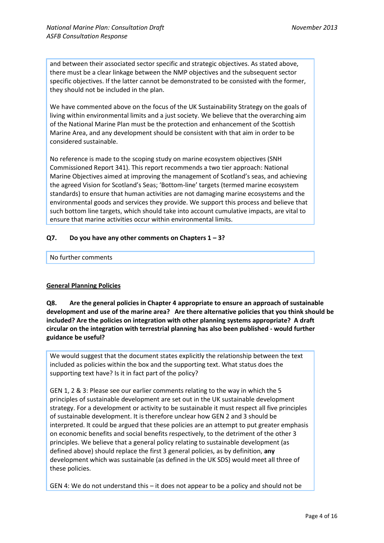and between their associated sector specific and strategic objectives. As stated above, there must be a clear linkage between the NMP objectives and the subsequent sector specific objectives. If the latter cannot be demonstrated to be consisted with the former, they should not be included in the plan.

We have commented above on the focus of the UK Sustainability Strategy on the goals of living within environmental limits and a just society. We believe that the overarching aim of the National Marine Plan must be the protection and enhancement of the Scottish Marine Area, and any development should be consistent with that aim in order to be considered sustainable.

No reference is made to the scoping study on marine ecosystem objectives (SNH Commissioned Report 341). This report recommends a two tier approach: National Marine Objectives aimed at improving the management of Scotland's seas, and achieving the agreed Vision for Scotland's Seas; 'Bottom-line' targets (termed marine ecosystem standards) to ensure that human activities are not damaging marine ecosystems and the environmental goods and services they provide. We support this process and believe that such bottom line targets, which should take into account cumulative impacts, are vital to ensure that marine activities occur within environmental limits.

## **Q7. Do you have any other comments on Chapters 1 – 3?**

#### No further comments

## **General Planning Policies**

**Q8. Are the general policies in Chapter 4 appropriate to ensure an approach of sustainable development and use of the marine area? Are there alternative policies that you think should be included? Are the policies on integration with other planning systems appropriate? A draft circular on the integration with terrestrial planning has also been published - would further guidance be useful?**

We would suggest that the document states explicitly the relationship between the text included as policies within the box and the supporting text. What status does the supporting text have? Is it in fact part of the policy?

GEN 1, 2 & 3: Please see our earlier comments relating to the way in which the 5 principles of sustainable development are set out in the UK sustainable development strategy. For a development or activity to be sustainable it must respect all five principles of sustainable development. It is therefore unclear how GEN 2 and 3 should be interpreted. It could be argued that these policies are an attempt to put greater emphasis on economic benefits and social benefits respectively, to the detriment of the other 3 principles. We believe that a general policy relating to sustainable development (as defined above) should replace the first 3 general policies, as by definition, **any** development which was sustainable (as defined in the UK SDS) would meet all three of these policies.

GEN 4: We do not understand this – it does not appear to be a policy and should not be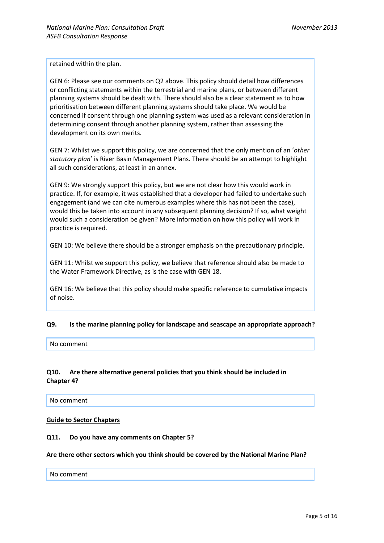retained within the plan.

GEN 6: Please see our comments on Q2 above. This policy should detail how differences or conflicting statements within the terrestrial and marine plans, or between different planning systems should be dealt with. There should also be a clear statement as to how prioritisation between different planning systems should take place. We would be concerned if consent through one planning system was used as a relevant consideration in determining consent through another planning system, rather than assessing the development on its own merits.

GEN 7: Whilst we support this policy, we are concerned that the only mention of an '*other statutory plan*' is River Basin Management Plans. There should be an attempt to highlight all such considerations, at least in an annex.

GEN 9: We strongly support this policy, but we are not clear how this would work in practice. If, for example, it was established that a developer had failed to undertake such engagement (and we can cite numerous examples where this has not been the case), would this be taken into account in any subsequent planning decision? If so, what weight would such a consideration be given? More information on how this policy will work in practice is required.

GEN 10: We believe there should be a stronger emphasis on the precautionary principle.

GEN 11: Whilst we support this policy, we believe that reference should also be made to the Water Framework Directive, as is the case with GEN 18.

GEN 16: We believe that this policy should make specific reference to cumulative impacts of noise.

## **Q9. Is the marine planning policy for landscape and seascape an appropriate approach?**

No comment

## **Q10. Are there alternative general policies that you think should be included in Chapter 4?**

No comment

#### **Guide to Sector Chapters**

#### **Q11. Do you have any comments on Chapter 5?**

#### **Are there other sectors which you think should be covered by the National Marine Plan?**

#### No comment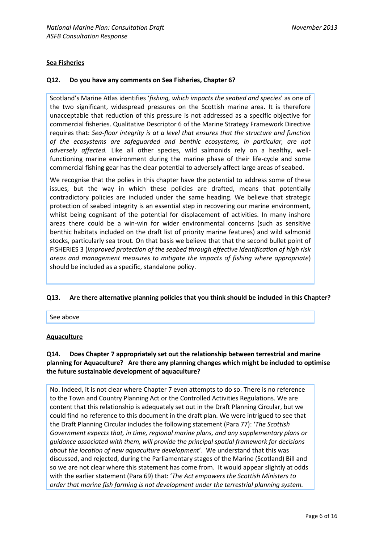## **Sea Fisheries**

## **Q12. Do you have any comments on Sea Fisheries, Chapter 6?**

Scotland's Marine Atlas identifies '*fishing, which impacts the seabed and species*' as one of the two significant, widespread pressures on the Scottish marine area. It is therefore unacceptable that reduction of this pressure is not addressed as a specific objective for commercial fisheries. Qualitative Descriptor 6 of the Marine Strategy Framework Directive requires that: *Sea-floor integrity is at a level that ensures that the structure and function of the ecosystems are safeguarded and benthic ecosystems, in particular, are not adversely affected.* Like all other species, wild salmonids rely on a healthy, wellfunctioning marine environment during the marine phase of their life-cycle and some commercial fishing gear has the clear potential to adversely affect large areas of seabed.

We recognise that the polies in this chapter have the potential to address some of these issues, but the way in which these policies are drafted, means that potentially contradictory policies are included under the same heading. We believe that strategic protection of seabed integrity is an essential step in recovering our marine environment, whilst being cognisant of the potential for displacement of activities. In many inshore areas there could be a win-win for wider environmental concerns (such as sensitive benthic habitats included on the draft list of priority marine features) and wild salmonid stocks, particularly sea trout. On that basis we believe that that the second bullet point of FISHERIES 3 (*improved protection of the seabed through effective identification of high risk areas and management measures to mitigate the impacts of fishing where appropriate*) should be included as a specific, standalone policy.

## **Q13. Are there alternative planning policies that you think should be included in this Chapter?**

See above

#### **Aquaculture**

## **Q14. Does Chapter 7 appropriately set out the relationship between terrestrial and marine planning for Aquaculture? Are there any planning changes which might be included to optimise the future sustainable development of aquaculture?**

No. Indeed, it is not clear where Chapter 7 even attempts to do so. There is no reference to the Town and Country Planning Act or the Controlled Activities Regulations. We are content that this relationship is adequately set out in the Draft Planning Circular, but we could find no reference to this document in the draft plan. We were intrigued to see that the Draft Planning Circular includes the following statement (Para 77): '*The Scottish Government expects that, in time, regional marine plans, and any supplementary plans or guidance associated with them, will provide the principal spatial framework for decisions about the location of new aquaculture development*'. We understand that this was discussed, and rejected, during the Parliamentary stages of the Marine (Scotland) Bill and so we are not clear where this statement has come from. It would appear slightly at odds with the earlier statement (Para 69) that: '*The Act empowers the Scottish Ministers to order that marine fish farming is not development under the terrestrial planning system.*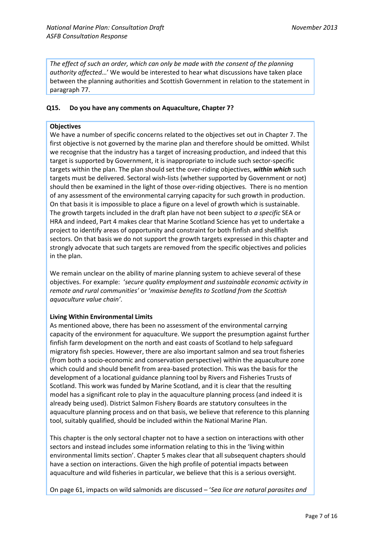*The effect of such an order, which can only be made with the consent of the planning authority affected*…' We would be interested to hear what discussions have taken place between the planning authorities and Scottish Government in relation to the statement in paragraph 77.

## **Q15. Do you have any comments on Aquaculture, Chapter 7?**

## **Objectives**

We have a number of specific concerns related to the objectives set out in Chapter 7. The first objective is not governed by the marine plan and therefore should be omitted. Whilst we recognise that the industry has a target of increasing production, and indeed that this target is supported by Government, it is inappropriate to include such sector-specific targets within the plan. The plan should set the over-riding objectives, *within which* such targets must be delivered. Sectoral wish-lists (whether supported by Government or not) should then be examined in the light of those over-riding objectives. There is no mention of any assessment of the environmental carrying capacity for such growth in production. On that basis it is impossible to place a figure on a level of growth which is sustainable. The growth targets included in the draft plan have not been subject to *a specific* SEA or HRA and indeed, Part 4 makes clear that Marine Scotland Science has yet to undertake a project to identify areas of opportunity and constraint for both finfish and shellfish sectors. On that basis we do not support the growth targets expressed in this chapter and strongly advocate that such targets are removed from the specific objectives and policies in the plan.

We remain unclear on the ability of marine planning system to achieve several of these objectives. For example: '*secure quality employment and sustainable economic activity in remote and rural communities'* or '*maximise benefits to Scotland from the Scottish aquaculture value chain'*.

## **Living Within Environmental Limits**

As mentioned above, there has been no assessment of the environmental carrying capacity of the environment for aquaculture. We support the presumption against further finfish farm development on the north and east coasts of Scotland to help safeguard migratory fish species. However, there are also important salmon and sea trout fisheries (from both a socio-economic and conservation perspective) within the aquaculture zone which could and should benefit from area-based protection. This was the basis for the development of a locational guidance planning tool by Rivers and Fisheries Trusts of Scotland. This work was funded by Marine Scotland, and it is clear that the resulting model has a significant role to play in the aquaculture planning process (and indeed it is already being used). District Salmon Fishery Boards are statutory consultees in the aquaculture planning process and on that basis, we believe that reference to this planning tool, suitably qualified, should be included within the National Marine Plan.

This chapter is the only sectoral chapter not to have a section on interactions with other sectors and instead includes some information relating to this in the 'living within environmental limits section'. Chapter 5 makes clear that all subsequent chapters should have a section on interactions. Given the high profile of potential impacts between aquaculture and wild fisheries in particular, we believe that this is a serious oversight.

On page 61, impacts on wild salmonids are discussed – '*Sea lice are natural parasites and*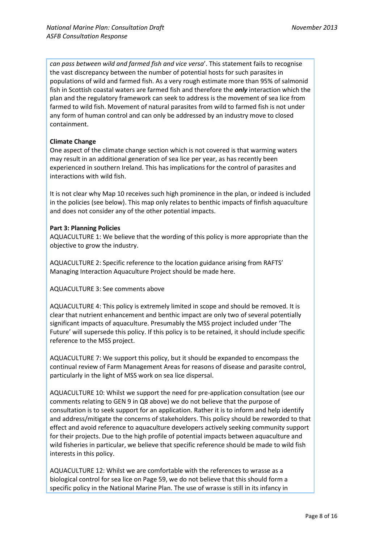*can pass between wild and farmed fish and vice versa*'. This statement fails to recognise the vast discrepancy between the number of potential hosts for such parasites in populations of wild and farmed fish. As a very rough estimate more than 95% of salmonid fish in Scottish coastal waters are farmed fish and therefore the *only* interaction which the plan and the regulatory framework can seek to address is the movement of sea lice from farmed to wild fish. Movement of natural parasites from wild to farmed fish is not under any form of human control and can only be addressed by an industry move to closed containment.

## **Climate Change**

One aspect of the climate change section which is not covered is that warming waters may result in an additional generation of sea lice per year, as has recently been experienced in southern Ireland. This has implications for the control of parasites and interactions with wild fish.

It is not clear why Map 10 receives such high prominence in the plan, or indeed is included in the policies (see below). This map only relates to benthic impacts of finfish aquaculture and does not consider any of the other potential impacts.

## **Part 3: Planning Policies**

AQUACULTURE 1: We believe that the wording of this policy is more appropriate than the objective to grow the industry.

AQUACULTURE 2: Specific reference to the location guidance arising from RAFTS' Managing Interaction Aquaculture Project should be made here.

AQUACULTURE 3: See comments above

AQUACULTURE 4: This policy is extremely limited in scope and should be removed. It is clear that nutrient enhancement and benthic impact are only two of several potentially significant impacts of aquaculture. Presumably the MSS project included under 'The Future' will supersede this policy. If this policy is to be retained, it should include specific reference to the MSS project.

AQUACULTURE 7: We support this policy, but it should be expanded to encompass the continual review of Farm Management Areas for reasons of disease and parasite control, particularly in the light of MSS work on sea lice dispersal.

AQUACULTURE 10: Whilst we support the need for pre-application consultation (see our comments relating to GEN 9 in Q8 above) we do not believe that the purpose of consultation is to seek support for an application. Rather it is to inform and help identify and address/mitigate the concerns of stakeholders. This policy should be reworded to that effect and avoid reference to aquaculture developers actively seeking community support for their projects. Due to the high profile of potential impacts between aquaculture and wild fisheries in particular, we believe that specific reference should be made to wild fish interests in this policy.

AQUACULTURE 12: Whilst we are comfortable with the references to wrasse as a biological control for sea lice on Page 59, we do not believe that this should form a specific policy in the National Marine Plan. The use of wrasse is still in its infancy in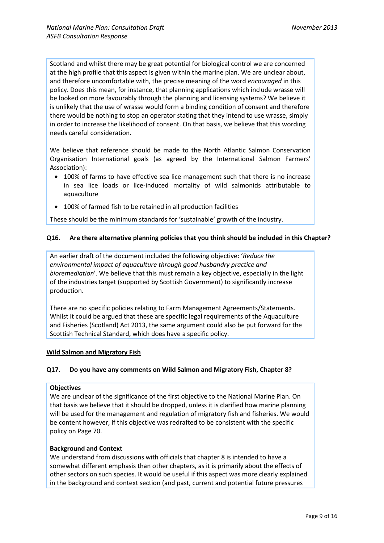Scotland and whilst there may be great potential for biological control we are concerned at the high profile that this aspect is given within the marine plan. We are unclear about, and therefore uncomfortable with, the precise meaning of the word *encouraged* in this policy. Does this mean, for instance, that planning applications which include wrasse will be looked on more favourably through the planning and licensing systems? We believe it is unlikely that the use of wrasse would form a binding condition of consent and therefore there would be nothing to stop an operator stating that they intend to use wrasse, simply in order to increase the likelihood of consent. On that basis, we believe that this wording needs careful consideration.

We believe that reference should be made to the North Atlantic Salmon Conservation Organisation International goals (as agreed by the International Salmon Farmers' Association):

- 100% of farms to have effective sea lice management such that there is no increase in sea lice loads or lice-induced mortality of wild salmonids attributable to aquaculture
- 100% of farmed fish to be retained in all production facilities

These should be the minimum standards for 'sustainable' growth of the industry.

## **Q16. Are there alternative planning policies that you think should be included in this Chapter?**

An earlier draft of the document included the following objective: '*Reduce the environmental impact of aquaculture through good husbandry practice and bioremediation*'. We believe that this must remain a key objective, especially in the light of the industries target (supported by Scottish Government) to significantly increase production.

There are no specific policies relating to Farm Management Agreements/Statements. Whilst it could be argued that these are specific legal requirements of the Aquaculture and Fisheries (Scotland) Act 2013, the same argument could also be put forward for the Scottish Technical Standard, which does have a specific policy.

## **Wild Salmon and Migratory Fish**

## **Q17. Do you have any comments on Wild Salmon and Migratory Fish, Chapter 8?**

#### **Objectives**

We are unclear of the significance of the first objective to the National Marine Plan. On that basis we believe that it should be dropped, unless it is clarified how marine planning will be used for the management and regulation of migratory fish and fisheries. We would be content however, if this objective was redrafted to be consistent with the specific policy on Page 70.

#### **Background and Context**

We understand from discussions with officials that chapter 8 is intended to have a somewhat different emphasis than other chapters, as it is primarily about the effects of other sectors on such species. It would be useful if this aspect was more clearly explained in the background and context section (and past, current and potential future pressures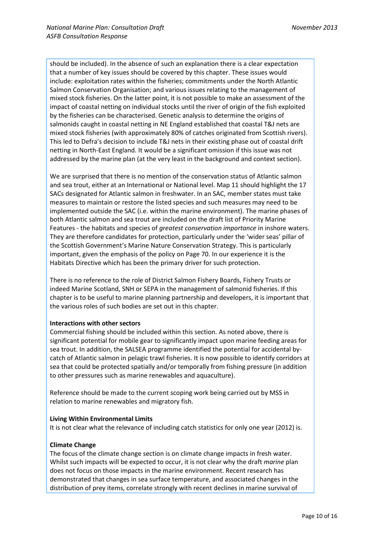should be included). In the absence of such an explanation there is a clear expectation that a number of key issues should be covered by this chapter. These issues would include: exploitation rates within the fisheries; commitments under the North Atlantic Salmon Conservation Organisation; and various issues relating to the management of mixed stock fisheries. On the latter point, it is not possible to make an assessment of the impact of coastal netting on individual stocks until the river of origin of the fish exploited by the fisheries can be characterised. Genetic analysis to determine the origins of salmonids caught in coastal netting in NE England established that coastal T&J nets are mixed stock fisheries (with approximately 80% of catches originated from Scottish rivers). This led to Defra's decision to include T&J nets in their existing phase out of coastal drift netting in North-East England. It would be a significant omission if this issue was not addressed by the marine plan (at the very least in the background and context section).

We are surprised that there is no mention of the conservation status of Atlantic salmon and sea trout, either at an International or National level. Map 11 should highlight the 17 SACs designated for Atlantic salmon in freshwater. In an SAC, member states must take measures to maintain or restore the listed species and such measures may need to be implemented outside the SAC (i.e. within the marine environment). The marine phases of both Atlantic salmon and sea trout are included on the draft list of Priority Marine Features - the habitats and species of *greatest conservation importance* in inshore waters. They are therefore candidates for protection, particularly under the 'wider seas' pillar of the Scottish Government's Marine Nature Conservation Strategy. This is particularly important, given the emphasis of the policy on Page 70. In our experience it is the Habitats Directive which has been the primary driver for such protection.

There is no reference to the role of District Salmon Fishery Boards, Fishery Trusts or indeed Marine Scotland, SNH or SEPA in the management of salmonid fisheries. If this chapter is to be useful to marine planning partnership and developers, it is important that the various roles of such bodies are set out in this chapter.

## **Interactions with other sectors**

Commercial fishing should be included within this section. As noted above, there is significant potential for mobile gear to significantly impact upon marine feeding areas for sea trout. In addition, the SALSEA programme identified the potential for accidental bycatch of Atlantic salmon in pelagic trawl fisheries. It is now possible to identify corridors at sea that could be protected spatially and/or temporally from fishing pressure (in addition to other pressures such as marine renewables and aquaculture).

Reference should be made to the current scoping work being carried out by MSS in relation to marine renewables and migratory fish.

## **Living Within Environmental Limits**

It is not clear what the relevance of including catch statistics for only one year (2012) is.

## **Climate Change**

The focus of the climate change section is on climate change impacts in fresh water. Whilst such impacts will be expected to occur, it is not clear why the draft *marine* plan does not focus on those impacts in the marine environment. Recent research has demonstrated that changes in sea surface temperature, and associated changes in the distribution of prey items, correlate strongly with recent declines in marine survival of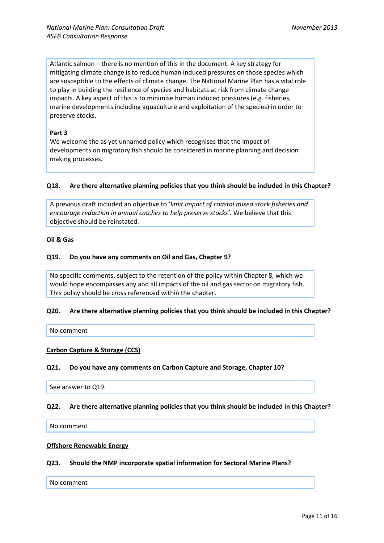Atlantic salmon – there is no mention of this in the document. A key strategy for mitigating climate change is to reduce human induced pressures on those species which are susceptible to the effects of climate change. The National Marine Plan has a vital role to play in building the resilience of species and habitats at risk from climate change impacts. A key aspect of this is to minimise human induced pressures (e.g. fisheries, marine developments including aquaculture and exploitation of the species) in order to preserve stocks.

## **Part 3**

We welcome the as yet unnamed policy which recognises that the impact of developments on migratory fish should be considered in marine planning and decision making processes.

#### **Q18. Are there alternative planning policies that you think should be included in this Chapter?**

A previous draft included an objective to '*limit impact of coastal mixed stock fisheries and encourage reduction in annual catches to help preserve stocks'.* We believe that this objective should be reinstated.

#### **Oil & Gas**

#### **Q19. Do you have any comments on Oil and Gas, Chapter 9?**

No specific comments, subject to the retention of the policy within Chapter 8, which we would hope encompasses any and all impacts of the oil and gas sector on migratory fish. This policy should be cross referenced within the chapter.

#### **Q20. Are there alternative planning policies that you think should be included in this Chapter?**

No comment

#### **Carbon Capture & Storage (CCS)**

#### **Q21. Do you have any comments on Carbon Capture and Storage, Chapter 10?**

See answer to Q19.

## **Q22. Are there alternative planning policies that you think should be included in this Chapter?**

No comment

#### **Offshore Renewable Energy**

#### **Q23. Should the NMP incorporate spatial information for Sectoral Marine Plans?**

No comment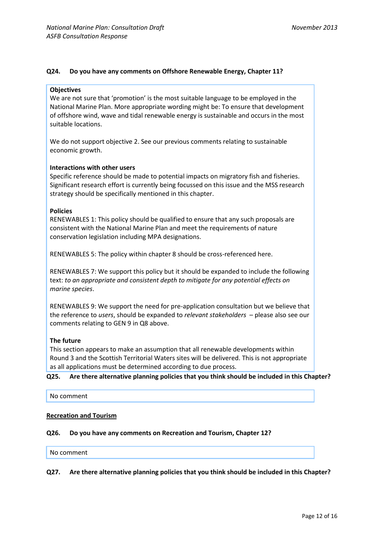## **Q24. Do you have any comments on Offshore Renewable Energy, Chapter 11?**

#### **Objectives**

We are not sure that 'promotion' is the most suitable language to be employed in the National Marine Plan. More appropriate wording might be: To ensure that development of offshore wind, wave and tidal renewable energy is sustainable and occurs in the most suitable locations.

We do not support objective 2. See our previous comments relating to sustainable economic growth.

#### **Interactions with other users**

Specific reference should be made to potential impacts on migratory fish and fisheries. Significant research effort is currently being focussed on this issue and the MSS research strategy should be specifically mentioned in this chapter.

#### **Policies**

RENEWABLES 1: This policy should be qualified to ensure that any such proposals are consistent with the National Marine Plan and meet the requirements of nature conservation legislation including MPA designations.

RENEWABLES 5: The policy within chapter 8 should be cross-referenced here.

RENEWABLES 7: We support this policy but it should be expanded to include the following text: *to an appropriate and consistent depth to mitigate for any potential effects on marine species*.

RENEWABLES 9: We support the need for pre-application consultation but we believe that the reference to *users*, should be expanded to *relevant stakeholders* – please also see our comments relating to GEN 9 in Q8 above.

#### **The future**

This section appears to make an assumption that all renewable developments within Round 3 and the Scottish Territorial Waters sites will be delivered. This is not appropriate as all applications must be determined according to due process.

**Q25. Are there alternative planning policies that you think should be included in this Chapter?**

No comment

## **Recreation and Tourism**

## **Q26. Do you have any comments on Recreation and Tourism, Chapter 12?**

#### No comment

**Q27. Are there alternative planning policies that you think should be included in this Chapter?**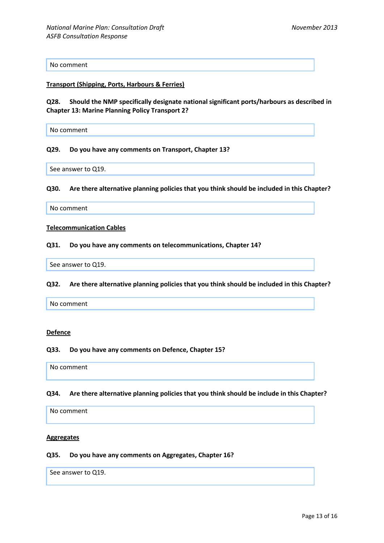No comment

#### **Transport (Shipping, Ports, Harbours & Ferries)**

**Q28. Should the NMP specifically designate national significant ports/harbours as described in Chapter 13: Marine Planning Policy Transport 2?**

No comment

#### **Q29. Do you have any comments on Transport, Chapter 13?**

See answer to Q19.

**Q30. Are there alternative planning policies that you think should be included in this Chapter?**

No comment

#### **Telecommunication Cables**

#### **Q31. Do you have any comments on telecommunications, Chapter 14?**

See answer to Q19.

#### **Q32. Are there alternative planning policies that you think should be included in this Chapter?**

No comment

#### **Defence**

#### **Q33. Do you have any comments on Defence, Chapter 15?**

No comment

#### **Q34. Are there alternative planning policies that you think should be include in this Chapter?**

No comment

#### **Aggregates**

## **Q35. Do you have any comments on Aggregates, Chapter 16?**

See answer to Q19.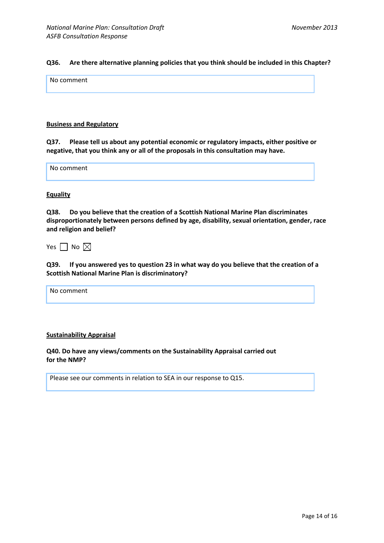## **Q36. Are there alternative planning policies that you think should be included in this Chapter?**

No comment

#### **Business and Regulatory**

**Q37. Please tell us about any potential economic or regulatory impacts, either positive or negative, that you think any or all of the proposals in this consultation may have.**

No comment

#### **Equality**

**Q38. Do you believe that the creation of a Scottish National Marine Plan discriminates disproportionately between persons defined by age, disability, sexual orientation, gender, race and religion and belief?**

Yes  $\Box$  No  $\boxtimes$ 

**Q39. If you answered yes to question 23 in what way do you believe that the creation of a Scottish National Marine Plan is discriminatory?**

No comment

#### **Sustainability Appraisal**

**Q40. Do have any views/comments on the Sustainability Appraisal carried out for the NMP?**

Please see our comments in relation to SEA in our response to Q15.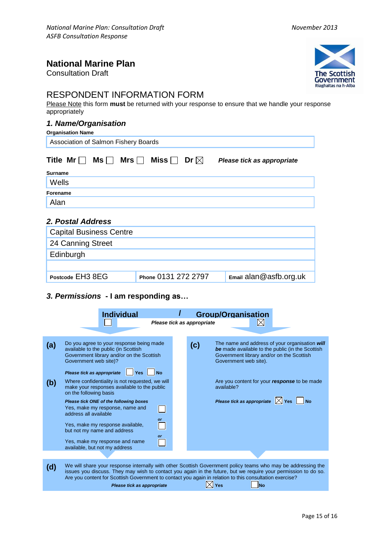## **National Marine Plan**

Consultation Draft



# RESPONDENT INFORMATION FORM

Please Note this form **must** be returned with your response to ensure that we handle your response appropriately

## *1. Name/Organisation*

| <b>Organisation Name</b>                            |                               |                            |  |  |  |  |  |  |  |
|-----------------------------------------------------|-------------------------------|----------------------------|--|--|--|--|--|--|--|
| Association of Salmon Fishery Boards                |                               |                            |  |  |  |  |  |  |  |
| Title $Mr \Box$<br>$\mathsf{Ms} \Box$<br>Mrs $\Box$ | Dr $\boxtimes$<br>Miss $\Box$ | Please tick as appropriate |  |  |  |  |  |  |  |
| Surname                                             |                               |                            |  |  |  |  |  |  |  |
| Wells                                               |                               |                            |  |  |  |  |  |  |  |
| Forename                                            |                               |                            |  |  |  |  |  |  |  |
| Alan                                                |                               |                            |  |  |  |  |  |  |  |
| 2. Postal Address                                   |                               |                            |  |  |  |  |  |  |  |
| <b>Capital Business Centre</b>                      |                               |                            |  |  |  |  |  |  |  |
| 24 Canning Street                                   |                               |                            |  |  |  |  |  |  |  |
| Edinburgh                                           |                               |                            |  |  |  |  |  |  |  |
|                                                     |                               |                            |  |  |  |  |  |  |  |
| Postcode EH3 8EG                                    | Phone 0131 272 2797           | $E$ mail alan@asfb.org.uk  |  |  |  |  |  |  |  |

## *3. Permissions* **- I am responding as…**

| <b>Group/Organisation</b><br><b>Individual</b><br>$\boxtimes$<br>Please tick as appropriate |                                                                                                                                                                                                                                                                                                                                                                                  |  |     |                                                                                                                                                                                                                                             |  |  |  |
|---------------------------------------------------------------------------------------------|----------------------------------------------------------------------------------------------------------------------------------------------------------------------------------------------------------------------------------------------------------------------------------------------------------------------------------------------------------------------------------|--|-----|---------------------------------------------------------------------------------------------------------------------------------------------------------------------------------------------------------------------------------------------|--|--|--|
| (a)                                                                                         | Do you agree to your response being made<br>available to the public (in Scottish<br>Government library and/or on the Scottish<br>Government web site)?<br>Please tick as appropriate<br><b>No</b><br><b>Yes</b>                                                                                                                                                                  |  | (c) | The name and address of your organisation will<br>be made available to the public (in the Scottish<br>Government library and/or on the Scottish<br>Government web site).                                                                    |  |  |  |
| (b)                                                                                         | Where confidentiality is not requested, we will<br>make your responses available to the public<br>on the following basis<br>Please tick ONE of the following boxes<br>Yes, make my response, name and<br>address all available<br>or<br>Yes, make my response available,<br>but not my name and address<br>or<br>Yes, make my response and name<br>available, but not my address |  |     | Are you content for your response to be made<br>available?<br>Please tick as appropriate $\boxtimes$ Yes $\blacksquare$ No                                                                                                                  |  |  |  |
|                                                                                             |                                                                                                                                                                                                                                                                                                                                                                                  |  |     |                                                                                                                                                                                                                                             |  |  |  |
| (d)                                                                                         | Are you content for Scottish Government to contact you again in relation to this consultation exercise?<br>Please tick as appropriate                                                                                                                                                                                                                                            |  |     | We will share your response internally with other Scottish Government policy teams who may be addressing the<br>issues you discuss. They may wish to contact you again in the future, but we require your permission to do so.<br>Yes<br>Nο |  |  |  |